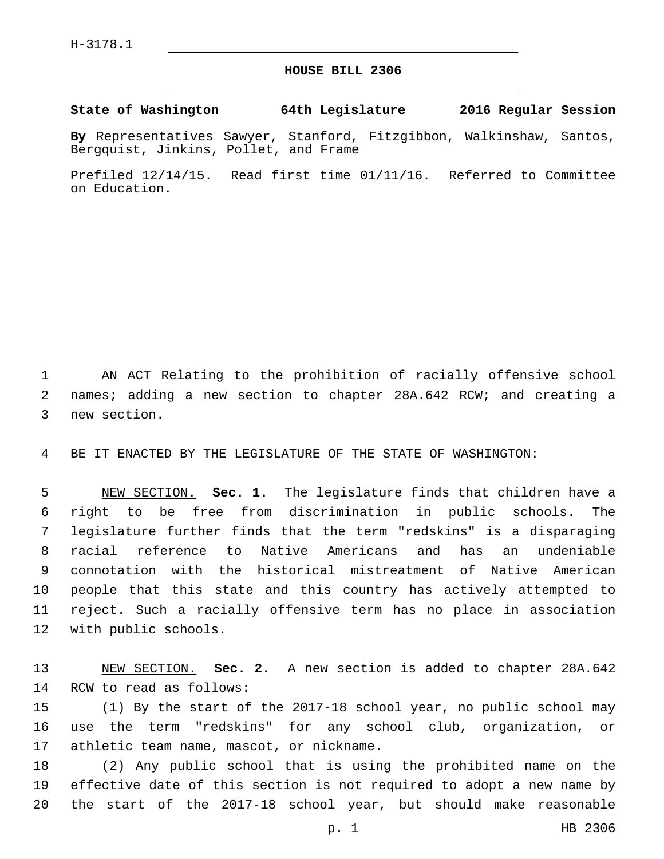## **HOUSE BILL 2306**

**State of Washington 64th Legislature 2016 Regular Session**

**By** Representatives Sawyer, Stanford, Fitzgibbon, Walkinshaw, Santos, Bergquist, Jinkins, Pollet, and Frame

Prefiled 12/14/15. Read first time 01/11/16. Referred to Committee on Education.

 AN ACT Relating to the prohibition of racially offensive school names; adding a new section to chapter 28A.642 RCW; and creating a 3 new section.

BE IT ENACTED BY THE LEGISLATURE OF THE STATE OF WASHINGTON:

 NEW SECTION. **Sec. 1.** The legislature finds that children have a right to be free from discrimination in public schools. The legislature further finds that the term "redskins" is a disparaging racial reference to Native Americans and has an undeniable connotation with the historical mistreatment of Native American people that this state and this country has actively attempted to reject. Such a racially offensive term has no place in association with public schools.

 NEW SECTION. **Sec. 2.** A new section is added to chapter 28A.642 14 RCW to read as follows:

 (1) By the start of the 2017-18 school year, no public school may use the term "redskins" for any school club, organization, or 17 athletic team name, mascot, or nickname.

 (2) Any public school that is using the prohibited name on the effective date of this section is not required to adopt a new name by the start of the 2017-18 school year, but should make reasonable